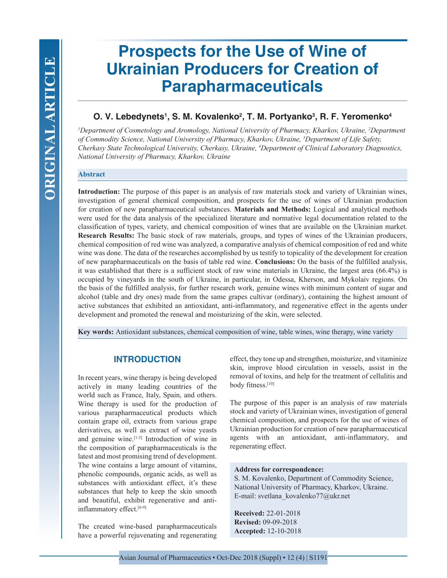# **Prospects for the Use of Wine of Ukrainian Producers for Creation of Parapharmaceuticals**

# **O. V. Lebedynets1 , S. M. Kovalenko2 , T. M. Portyanko3 , R. F. Yeromenko4**

*1 Department of Cosmetology and Aromology, National University of Pharmacy, Kharkov, Ukraine, 2 Department of Commodity Science, National University of Pharmacy, Kharkov, Ukraine, 3 Department of Life Safety, Cherkasy State Technological University, Cherkasy, Ukraine, 4 Department of Clinical Laboratory Diagnostics, National University of Pharmacy, Kharkov, Ukraine*

## **Abstract**

**Introduction:** The purpose of this paper is an analysis of raw materials stock and variety of Ukrainian wines, investigation of general chemical composition, and prospects for the use of wines of Ukrainian production for creation of new parapharmaceutical substances. **Materials and Methods:** Logical and analytical methods were used for the data analysis of the specialized literature and normative legal documentation related to the classification of types, variety, and chemical composition of wines that are available on the Ukrainian market. **Research Results:** The basic stock of raw materials, groups, and types of wines of the Ukrainian producers, chemical composition of red wine was analyzed, a comparative analysis of chemical composition of red and white wine was done. The data of the researches accomplished by us testify to topicality of the development for creation of new parapharmaceuticals on the basis of table red wine. **Conclusions:** On the basis of the fulfilled analysis, it was established that there is a sufficient stock of raw wine materials in Ukraine, the largest area (66.4%) is occupied by vineyards in the south of Ukraine, in particular, in Odessa, Kherson, and Mykolaiv regions. On the basis of the fulfilled analysis, for further research work, genuine wines with minimum content of sugar and alcohol (table and dry ones) made from the same grapes cultivar (ordinary), containing the highest amount of active substances that exhibited an antioxidant, anti-inflammatory, and regenerative effect in the agents under development and promoted the renewal and moisturizing of the skin, were selected.

**Key words:** Antioxidant substances, chemical composition of wine, table wines, wine therapy, wine variety

## **INTRODUCTION**

In recent years, wine therapy is being developed actively in many leading countries of the world such as France, Italy, Spain, and others. Wine therapy is used for the production of various parapharmaceutical products which contain grape oil, extracts from various grape derivatives, as well as extract of wine yeasts and genuine wine.[1-5] Introduction of wine in the composition of parapharmaceuticals is the latest and most promising trend of development. The wine contains a large amount of vitamins, phenolic compounds, organic acids, as well as substances with antioxidant effect, it's these substances that help to keep the skin smooth and beautiful, exhibit regenerative and antiinflammatory effect.<sup>[6-9]</sup>

The created wine-based parapharmaceuticals have a powerful rejuvenating and regenerating effect, they tone up and strengthen, moisturize, and vitaminize skin, improve blood circulation in vessels, assist in the removal of toxins, and help for the treatment of cellulitis and body fitness.[10]

The purpose of this paper is an analysis of raw materials stock and variety of Ukrainian wines, investigation of general chemical composition, and prospects for the use of wines of Ukrainian production for creation of new parapharmaceutical agents with an antioxidant, anti-inflammatory, and regenerating effect.

#### **Address for correspondence:**

S. M. Kovalenko, Department of Commodity Science, National University of Pharmacy, Kharkov, Ukraine. E-mail: svetlana\_kovalenko77@ukr.net

**Received:** 22-01-2018 **Revised:** 09-09-2018 **Accepted:** 12-10-2018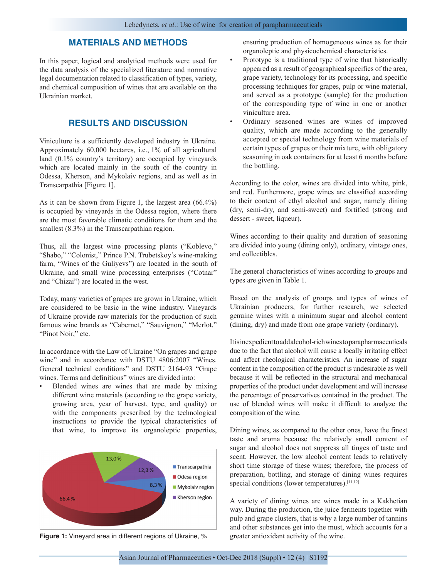## **MATERIALS AND METHODS**

In this paper, logical and analytical methods were used for the data analysis of the specialized literature and normative legal documentation related to classification of types, variety, and chemical composition of wines that are available on the Ukrainian market.

## **RESULTS AND DISCUSSION**

Viniculture is a sufficiently developed industry in Ukraine. Approximately 60,000 hectares, i.e., 1% of all agricultural land (0.1% country's territory) are occupied by vineyards which are located mainly in the south of the country in Odessa, Kherson, and Mykolaiv regions, and as well as in Transcarpathia [Figure 1].

As it can be shown from Figure 1, the largest area (66.4%) is occupied by vineyards in the Odessa region, where there are the most favorable climatic conditions for them and the smallest (8.3%) in the Transcarpathian region.

Thus, all the largest wine processing plants ("Koblevo," "Shabo," "Colonist," Prince P.N. Trubetskoy's wine-making farm, "Wines of the Guliyevs") are located in the south of Ukraine, and small wine processing enterprises ("Cotnar" and "Chizai") are located in the west.

Today, many varieties of grapes are grown in Ukraine, which are considered to be basic in the wine industry. Vineyards of Ukraine provide raw materials for the production of such famous wine brands as "Cabernet," "Sauvignon," "Merlot," "Pinot Noir," etc.

In accordance with the Law of Ukraine "On grapes and grape wine" and in accordance with DSTU 4806:2007 "Wines. General technical conditions" and DSTU 2164-93 "Grape wines. Terms and definitions" wines are divided into:

Blended wines are wines that are made by mixing different wine materials (according to the grape variety, growing area, year of harvest, type, and quality) or with the components prescribed by the technological instructions to provide the typical characteristics of that wine, to improve its organoleptic properties,



**Figure 1:** Vineyard area in different regions of Ukraine, % greater antioxidant activity of the wine.

ensuring production of homogeneous wines as for their organoleptic and physicochemical characteristics.

- Prototype is a traditional type of wine that historically appeared as a result of geographical specifics of the area, grape variety, technology for its processing, and specific processing techniques for grapes, pulp or wine material, and served as a prototype (sample) for the production of the corresponding type of wine in one or another viniculture area.
- Ordinary seasoned wines are wines of improved quality, which are made according to the generally accepted or special technology from wine materials of certain types of grapes or their mixture, with obligatory seasoning in oak containers for at least 6 months before the bottling.

According to the color, wines are divided into white, pink, and red. Furthermore, grape wines are classified according to their content of ethyl alcohol and sugar, namely dining (dry, semi-dry, and semi-sweet) and fortified (strong and dessert - sweet, liqueur).

Wines according to their quality and duration of seasoning are divided into young (dining only), ordinary, vintage ones, and collectibles.

The general characteristics of wines according to groups and types are given in Table 1.

Based on the analysis of groups and types of wines of Ukrainian producers, for further research, we selected genuine wines with a minimum sugar and alcohol content (dining, dry) and made from one grape variety (ordinary).

It is inexpedient to add alcohol-rich wines to parapharmaceuticals due to the fact that alcohol will cause a locally irritating effect and affect rheological characteristics. An increase of sugar content in the composition of the product is undesirable as well because it will be reflected in the structural and mechanical properties of the product under development and will increase the percentage of preservatives contained in the product. The use of blended wines will make it difficult to analyze the composition of the wine.

Dining wines, as compared to the other ones, have the finest taste and aroma because the relatively small content of sugar and alcohol does not suppress all tinges of taste and scent. However, the low alcohol content leads to relatively short time storage of these wines; therefore, the process of preparation, bottling, and storage of dining wines requires special conditions (lower temperatures).<sup>[11,12]</sup>

A variety of dining wines are wines made in a Kakhetian way. During the production, the juice ferments together with pulp and grape clusters, that is why a large number of tannins and other substances get into the must, which accounts for a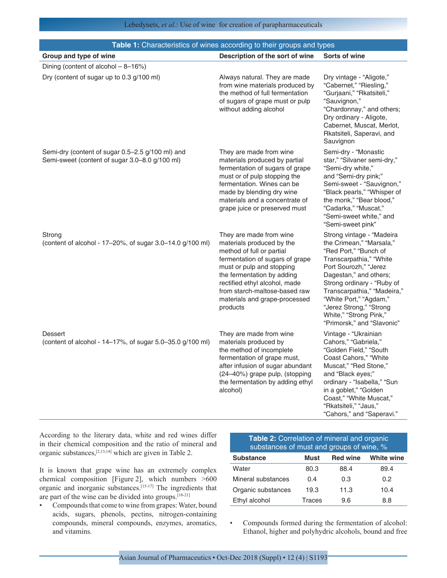| Table 1: Characteristics of wines according to their groups and types                              |                                                                                                                                                                                                                                                                                                |                                                                                                                                                                                                                                                                                                                                        |  |
|----------------------------------------------------------------------------------------------------|------------------------------------------------------------------------------------------------------------------------------------------------------------------------------------------------------------------------------------------------------------------------------------------------|----------------------------------------------------------------------------------------------------------------------------------------------------------------------------------------------------------------------------------------------------------------------------------------------------------------------------------------|--|
| Group and type of wine                                                                             | Description of the sort of wine                                                                                                                                                                                                                                                                | Sorts of wine                                                                                                                                                                                                                                                                                                                          |  |
| Dining (content of alcohol $-8-16\%$ )                                                             |                                                                                                                                                                                                                                                                                                |                                                                                                                                                                                                                                                                                                                                        |  |
| Dry (content of sugar up to 0.3 g/100 ml)                                                          | Always natural. They are made<br>from wine materials produced by<br>the method of full fermentation<br>of sugars of grape must or pulp<br>without adding alcohol                                                                                                                               | Dry vintage - "Aligote,"<br>"Cabernet," "Riesling,"<br>"Gurjaani," "Rkatsiteli,"<br>"Sauvignon,"<br>"Chardonnay," and others;<br>Dry ordinary - Aligote,<br>Cabernet, Muscat, Merlot,<br>Rkatsiteli, Saperavi, and<br>Sauvignon                                                                                                        |  |
| Semi-dry (content of sugar 0.5-2.5 g/100 ml) and<br>Semi-sweet (content of sugar 3.0–8.0 g/100 ml) | They are made from wine<br>materials produced by partial<br>fermentation of sugars of grape<br>must or of pulp stopping the<br>fermentation. Wines can be<br>made by blending dry wine<br>materials and a concentrate of<br>grape juice or preserved must                                      | Semi-dry - "Monastic<br>star," "Silvaner semi-dry,"<br>"Semi-dry white,"<br>and "Semi-dry pink;"<br>Semi-sweet - "Sauvignon,"<br>"Black pearls," "Whisper of<br>the monk," "Bear blood,"<br>"Cadarka," "Muscat,"<br>"Semi-sweet white," and<br>"Semi-sweet pink"                                                                       |  |
| Strong<br>(content of alcohol - 17-20%, of sugar 3.0-14.0 g/100 ml)                                | They are made from wine<br>materials produced by the<br>method of full or partial<br>fermentation of sugars of grape<br>must or pulp and stopping<br>the fermentation by adding<br>rectified ethyl alcohol, made<br>from starch-maltose-based raw<br>materials and grape-processed<br>products | Strong vintage - "Madeira<br>the Crimean," "Marsala,"<br>"Red Port," "Bunch of<br>Transcarpathia," "White<br>Port Sourozh," "Jerez<br>Dagestan," and others;<br>Strong ordinary - "Ruby of<br>Transcarpathia," "Madeira,"<br>"White Port," "Agdam,"<br>"Jerez Strong," "Strong<br>White," "Strong Pink,"<br>"Primorsk," and "Slavonic" |  |
| Dessert<br>(content of alcohol - 14-17%, of sugar 5.0-35.0 g/100 ml)                               | They are made from wine<br>materials produced by<br>the method of incomplete<br>fermentation of grape must,<br>after infusion of sugar abundant<br>(24-40%) grape pulp, (stopping<br>the fermentation by adding ethyl<br>alcohol)                                                              | Vintage - "Ukrainian<br>Cahors," "Gabriela,"<br>"Golden Field," "South<br>Coast Cahors," "White<br>Muscat," "Red Stone,"<br>and "Black eyes;"<br>ordinary - "Isabella," "Sun<br>in a goblet," "Golden<br>Coast," "White Muscat,"<br>"Rkatsiteli," "Jaus,"<br>"Cahors," and "Saperavi."                                                 |  |

According to the literary data, white and red wines differ in their chemical composition and the ratio of mineral and organic substances,[2,13,14] which are given in Table 2.

It is known that grape wine has an extremely complex chemical composition [Figure 2], which numbers >600 organic and inorganic substances.[15-17] The ingredients that are part of the wine can be divided into groups.[18-21]

• Compounds that come to wine from grapes: Water, bound acids, sugars, phenols, pectins, nitrogen-containing compounds, mineral compounds, enzymes, aromatics, and vitamins.

| substances of must and groups of wine, % |                 |            |  |
|------------------------------------------|-----------------|------------|--|
| Must                                     | <b>Red wine</b> | White wine |  |
| 80.3                                     | 88.4            | 89.4       |  |
| 0.4                                      | 0.3             | 0.2        |  |
| 19.3                                     | 11.3            | 10.4       |  |
| Traces                                   | 9.6             | 8.8        |  |
|                                          |                 |            |  |

**Table 2:** Correlation of mineral and organic

• Compounds formed during the fermentation of alcohol: Ethanol, higher and polyhydric alcohols, bound and free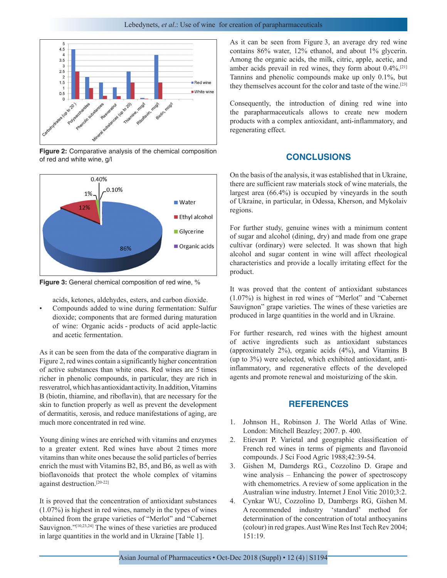

**Figure 2:** Comparative analysis of the chemical composition of red and white wine, g/l



**Figure 3:** General chemical composition of red wine, %

acids, ketones, aldehydes, esters, and carbon dioxide.

• Compounds added to wine during fermentation: Sulfur dioxide; components that are formed during maturation of wine: Organic acids - products of acid apple-lactic and acetic fermentation.

As it can be seen from the data of the comparative diagram in Figure 2, red wines contain a significantly higher concentration of active substances than white ones. Red wines are 5 times richer in phenolic compounds, in particular, they are rich in resveratrol, which has antioxidant activity. In addition, Vitamins B (biotin, thiamine, and riboflavin), that are necessary for the skin to function properly as well as prevent the development of dermatitis, xerosis, and reduce manifestations of aging, are much more concentrated in red wine.

Young dining wines are enriched with vitamins and enzymes to a greater extent. Red wines have about 2 times more vitamins than white ones because the solid particles of berries enrich the must with Vitamins B2, B5, and B6, as well as with bioflavonoids that protect the whole complex of vitamins against destruction.[20-22]

It is proved that the concentration of antioxidant substances (1.07%) is highest in red wines, namely in the types of wines obtained from the grape varieties of "Merlot" and "Cabernet Sauvignon."<sup>[10,23,24]</sup> The wines of these varieties are produced in large quantities in the world and in Ukraine [Table 1].

As it can be seen from Figure 3, an average dry red wine contains 86% water, 12% ethanol, and about 1% glycerin. Among the organic acids, the milk, citric, apple, acetic, and amber acids prevail in red wines, they form about 0.4%.[21] Tannins and phenolic compounds make up only 0.1%, but they themselves account for the color and taste of the wine.<sup>[23]</sup>

Consequently, the introduction of dining red wine into the parapharmaceuticals allows to create new modern products with a complex antioxidant, anti-inflammatory, and regenerating effect.

## **CONCLUSIONS**

On the basis of the analysis, it was established that in Ukraine, there are sufficient raw materials stock of wine materials, the largest area (66.4%) is occupied by vineyards in the south of Ukraine, in particular, in Odessa, Kherson, and Mykolaiv regions.

For further study, genuine wines with a minimum content of sugar and alcohol (dining, dry) and made from one grape cultivar (ordinary) were selected. It was shown that high alcohol and sugar content in wine will affect rheological characteristics and provide a locally irritating effect for the product.

It was proved that the content of antioxidant substances (1.07%) is highest in red wines of "Merlot" and "Cabernet Sauvignon" grape varieties. The wines of these varieties are produced in large quantities in the world and in Ukraine.

For further research, red wines with the highest amount of active ingredients such as antioxidant substances (approximately 2%), organic acids (4%), and Vitamins B (up to 3%) were selected, which exhibited antioxidant, antiinflammatory, and regenerative effects of the developed agents and promote renewal and moisturizing of the skin.

## **REFERENCES**

- 1. Johnson H., Robinson J. The World Atlas of Wine. London: Mitchell Beazley; 2007. p. 400.
- 2. Etievant P. Varietal and geographic classification of French red wines in terms of pigments and flavonoid compounds. J Sci Food Agric 1988;42:39-54.
- 3. Gishen M, Damdergs RG., Cozzolino D. Grape and wine analysis – Enhancing the power of spectroscopy with chemometrics. A review of some application in the Australian wine industry. Internet J Enol Vitic 2010;3:2.
- 4. Cynkar WU, Cozzolino D, Dambergs RG, Gishen M. A recommended industry 'standard' method for determination of the concentration of total anthocyanins (colour) in red grapes. Aust Wine Res Inst Tech Rev 2004; 151:19.